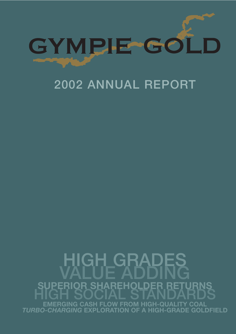

### 2002 ANNUAL REPORT

## GH GRADES<br>LUE ADDING<br>R SHARFHOLDER RET **R SHAREHOLD EMERGING CASH FLOW FROM HIGH-QUALITY COAL**  *TURBO-CHARGING* **EXPLORATION OF A HIGH-GRADE GOLDFIELD**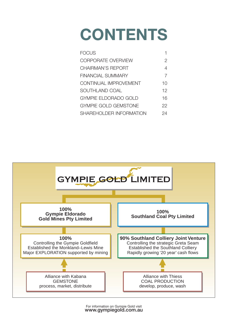# **CONTENTS**

| FOCI IS                     |    |
|-----------------------------|----|
| <b>CORPORATE OVERVIEW</b>   | 2  |
| CHAIRMAN'S REPORT           | 4  |
| FINANCIAL SUMMARY           |    |
| CONTINUAL IMPROVEMENT       | 10 |
| SOUTHLAND COAL              | 12 |
| <b>GYMPIE ELDORADO GOLD</b> | 16 |
| <b>GYMPIE GOLD GEMSTONE</b> | 22 |
| SHAREHOLDER INFORMATION     | クム |
|                             |    |

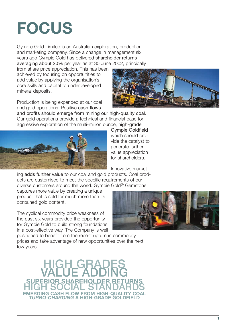## **FOCUS**

Gympie Gold Limited is an Australian exploration, production and marketing company. Since a change in management six years ago Gympie Gold has delivered shareholder returns averaging about 20% per year as at 30 June 2002, principally

from share price appreciation. This has been achieved by focusing on opportunities to add value by applying the organisation's core skills and capital to underdeveloped mineral deposits.

Production is being expanded at our coal and gold operations. Positive cash flows



and profits should emerge from mining our high-quality coal. Our gold operations provide a technical and financial base for aggressive exploration of the multi-million ounce, high-grade



Gympie Goldfield which should provide the catalyst to generate further value appreciation for shareholders.

Innovative market-

ing adds further value to our coal and gold products. Coal products are customised to meet the specific requirements of our diverse customers around the world. Gympie Gold® Gemstone

captures more value by creating a unique product that is sold for much more than its contained gold content.

The cyclical commodity price weakness of the past six years provided the opportunity for Gympie Gold to build strong foundations in a cost-effective way. The Company is well



positioned to benefit from the recent upturn in commodity prices and take advantage of new opportunities over the next few years.

HIGH GRADES VALUE ADDING **SUPERIOR SHAREHOLDER RETURNS** HIGH SOCIAL STANDARDS **EING CASH ELOW FROM HIGH** *TURBO-CHARGING* **A HIGH-GRADE GOLDFIELD**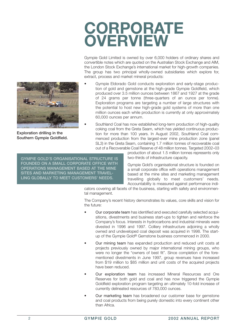### **CORPORATE OVERVIEW**

Gympie Gold Limited is owned by over 6,000 holders of ordinary shares and convertible notes which are quoted on the Australian Stock Exchange and AIM, the London Stock Exchange's international market for high-growth companies. The group has two principal wholly-owned subsidiaries which explore for, extract, process and market mineral products:

- Gympie Eldorado Gold conducts exploration and early-stage production of gold and gemstone at the high-grade Gympie Goldfield, which produced over 3.5 million ounces between 1867 and 1927 at the grade of 24 grams per tonne (three-quarters of an ounce per tonne). Exploration programs are targeting a number of large structures with the potential to host new high-grade gold systems of more than one million ounces each while production is currently at only approximately 60,000 ounces per annum.
- Southland Coal has now established long-term production of high-quality coking coal from the Greta Seam, which has yielded continuous production for more than 100 years. In August 2002, Southland Coal commenced production from the largest-ever mine production zone (panel SL3) in the Greta Seam, containing 1.7 million tonnes of recoverable coal out of a Recoverable Coal Reserve of 48 million tonnes. Targeted 2002–03

GYMPIE GOLD'S ORGANISATIONAL STRUCTURE IS FOUNDED ON A SMALL CORPORATE OFFICE WITH OPERATIONS MANAGEMENT BASED AT THE MINE SITES AND MARKETING MANAGEMENT TRAVEL-LING GLOBALLY TO MEET CUSTOMERS' NEEDS.

production of about 1.5 million tonnes represents only two-thirds of infrastructure capacity.

Gympie Gold's organisational structure is founded on a small corporate office with operations management based at the mine sites and marketing management travelling globally to meet customers' needs. Accountability is measured against performance indi-

cators covering all facets of the business, starting with safety and environmental management.

The Company's recent history demonstrates its values, core skills and vision for the future:

- Our corporate team has identified and executed carefully selected acquisitions, divestments and business start-ups to tighten and reinforce the Company's focus. Interests in hydrocarbons and industrial minerals were divested in 1996 and 1997. Colliery infrastructure adjoining a wholly owned and undeveloped coal deposit was acquired in 1998. The startup of the Gympie Gold® Gemstone business commenced in 2000.
- Our mining team has expanded production and reduced unit costs at projects previously owned by major international mining groups, who were no longer the "owners of best fit". Since completion of the forementioned divestments in June 1997, group revenues have increased from \$19 million to \$85 million and unit costs of the acquired projects have been reduced.
- Our exploration team has increased Mineral Resources and Ore Reserves for both gold and coal and has now triggered the Gympie Goldfield exploration program targeting an ultimately 10-fold increase of currently delineated resources of 783,000 ounces.
- Our marketing team has broadened our customer base for gemstone and coal products from being purely domestic into every continent other than Africa.



Exploration drilling in the Southern Gympie Goldfield.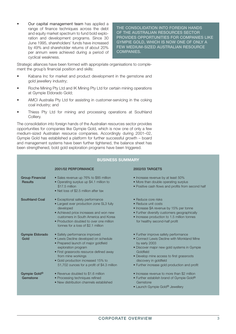• Our capital management team has applied a range of finance techniques across the debt and equity market spectrum to fund bold exploration and development programs. Since 30 June 1995, shareholders' funds have increased by 49% and shareholder returns of about 20% per annum were achieved during a period of cyclical weakness.

THE CONSOLIDATION INTO FOREIGN HANDS OF THE AUSTRALIAN RESOURCES SECTOR PROVIDES OPPORTUNITIES FOR COMPANIES LIKE GYMPIE GOLD, WHICH IS NOW ONE OF ONLY A FEW MEDIUM-SIZED AUSTRALIAN RESOURCE COMPANIES.

Strategic alliances have been formed with appropriate organisations to complement the group's financial position and skills:

- Kabana Inc for market and product development in the gemstone and gold jewellery industry;
- Roche Mining Pty Ltd and IK Mining Pty Ltd for certain mining operations at Gympie Eldorado Gold;
- AMCI Australia Pty Ltd for assisting in customer-servicing in the coking coal industry; and
- Thiess Pty Ltd for mining and processing operations at Southland Colliery.

The consolidation into foreign hands of the Australian resources sector provides opportunities for companies like Gympie Gold, which is now one of only a few medium-sized Australian resource companies. Accordingly during 2001–02, Gympie Gold has established a platform for further successful growth – board and management systems have been further tightened, the balance sheet has been strengthened, bold gold exploration programs have been triggered.

| <b>BUSINESS SUMMARY</b>                  |                                                                                                                                                                                                                                                                                              |                                                                                                                                                                                                                                                                                         |  |
|------------------------------------------|----------------------------------------------------------------------------------------------------------------------------------------------------------------------------------------------------------------------------------------------------------------------------------------------|-----------------------------------------------------------------------------------------------------------------------------------------------------------------------------------------------------------------------------------------------------------------------------------------|--|
|                                          | 2001/02 PERFORMANCE                                                                                                                                                                                                                                                                          | 2002/03 TARGETS                                                                                                                                                                                                                                                                         |  |
| <b>Group Financial</b><br><b>Results</b> | • Sales revenue up 76% to \$85 million<br>• Operating surplus up \$4.1 million to<br>\$17.5 million<br>• Net loss of \$2.5 million after tax                                                                                                                                                 | • Increase revenue by at least 50%<br>• More than double operating surplus<br>• Positive cash flows and profits from second half                                                                                                                                                        |  |
| <b>Southland Coal</b>                    | • Exceptional safety performance<br>• Largest ever production zone SL3 fully<br>developed<br>• Achieved price increases and won new<br>customers in South America and Korea<br>• Production doubled to over one million<br>tonnes for a loss of \$2.1 million                                | • Reduce core risks<br>• Reduce unit costs<br>• Increase \$A revenue by 15% per tonne<br>• Further diversify customers geographically<br>· Increase production to 1.5 million tonnes<br>for healthy second-half profit                                                                  |  |
| <b>Gympie Eldorado</b><br>Gold           | • Safety performance improved<br>• Lewis Decline developed on schedule<br>• Prepared launch of major goldfield<br>exploration program<br>• First grassroots resource defined away<br>from mine workings<br>• Gold production increased 15% to<br>51,702 ounces for a profit of \$4.3 million | • Further improve safety performance<br>• Connect Lewis Decline with Monkland Mine<br>by early 2003<br>• Discover major new gold systems in Gympie<br>Goldfield<br>· Develop mine access to first grassroots<br>discovery in goldfield<br>• Further increase gold production and profit |  |
| Gympie Gold <sup>®</sup><br>Gemstone     | • Revenue doubled to \$1.6 million<br>• Processing techniques refined<br>• New distribution channels established                                                                                                                                                                             | • Increase revenue to more than \$2 million<br>• Further establish brand of Gympie Gold®<br>Gemstone<br>• Launch Gympie Gold® Jewellery                                                                                                                                                 |  |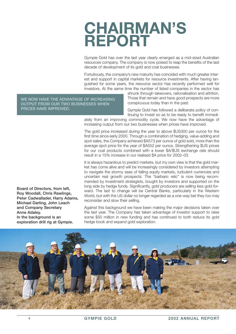### **CHAIRMAN'S REPORT**

Gympie Gold has over the last year clearly emerged as a mid-sized Australian resources company. The company is now poised to reap the benefits of the last decade of development of its gold and coal businesses.

Fortuitously, the company's new maturity has coincided with much greater interest and support in capital markets for resource investments. After having languished for some years, the resource sector has recently performed well for investors. At the same time the number of listed companies in the sector has

WE NOW HAVE THE ADVANTAGE OF INCREASING OUTPUT FROM OUR TWO BUSINESSES WHEN PRICES HAVE IMPROVED.

shrunk through takeovers, rationalisation and attrition. Those that remain and have good prospects are more conspicuous today than in the past.

Gympie Gold has followed a deliberate policy of continuing to invest so as to be ready to benefit immedi-

ately from an improving commodity cycle. We now have the advantage of increasing output from our two businesses when prices have improved.

The gold price increased during the year to above \$US300 per ounce for the first time since early 2000. Through a combination of hedging, value-adding and spot sales, the Company achieved \$A573 per ounce of gold sold, more than the average spot price for the year of \$A552 per ounce. Strengthening \$US prices for our coal products combined with a lower \$A/\$US exchange rate should result in a 15% increase in our realised \$A price for 2002–03.

It is always hazardous to predict markets, but my own view is that the gold market has come alive and will be increasingly considered by investors attempting to navigate the stormy seas of falling equity markets, turbulent currencies and uncertain real growth prospects. The "barbaric relic" is now being recommended by investment strategists, bought by investors and supported on the long side by hedge funds. Significantly, gold producers are selling less gold forward. The last to change will be Central Banks, particularly in the Western World, but with the US dollar no longer regarded as a one-way bet they too may reconsider and slow their selling.

Against this background we have been making the major decisions taken over the last year. The Company has taken advantage of investor support to raise some \$50 million in new funding and has continued to both reduce its gold hedge book and expand gold exploration.



Board of Directors, from left, Roy Woodall, Chris Rawlings, Peter Cadwallader, Harry Adams, Michael Darling, John Leach and Company Secretary Anne Adaley. In the background is an exploration drill rig at Gympie.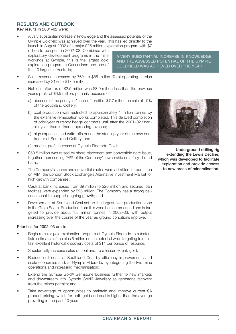#### RESULTS AND OUTLOOK

Key results in 2001–02 were:

• A very substantial increase in knowledge and the assessed potential of the Gympie Goldfield was achieved over the year. This has led directly to the launch in August 2002 of a major \$25 million exploration program with \$7

million to be spent in 2002–03. Combined with exploratory development programs in the mine workings at Gympie, this is the largest gold exploration program in Queensland and one of the 10 largest in Australia;

A VERY SUBSTANTIAL INCREASE IN KNOWLEDGE AND THE ASSESSED POTENTIAL OF THE GYMPIE GOLDFIELD WAS ACHIEVED OVER THE YEAR.

- Sales revenue increased by 76% to \$85 million. Total operating surplus increased by 31% to \$17.5 million;
- Net loss after tax of \$2.5 million was \$8.9 million less than the previous year's profit of \$6.5 million, primarily because of:
	- a) absence of the prior year's one-off profit of \$7.7 million on sale of 10% of the Southland Colliery;
	- b) coal production was restricted to approximately 1 million tonnes by the extensive remediation works completed. This delayed completion of prior-year currency hedge contracts until after the 2001–02 financial year, thus further suppressing revenue;
	- c) high expenses and write-offs during the start-up year of the new contractor at Southland Colliery; and
	- d) modest profit increase at Gympie Eldorado Gold;
- \$50.5 million was raised by share placement and convertible note issue, together representing 24% of the Company's ownership on a fully-diluted basis;
- The Company's shares and convertible notes were admitted for quotation on AIM, the London Stock Exchange's Alternative Investment Market for high-growth companies;
- Cash at bank increased from \$9 million to \$26 million and secured loan facilities were expanded by \$25 million. The Company has a strong balance sheet to support ongoing growth; and
- Development at Southland Coal set up the largest ever production zone in the Greta Seam. Production from this zone has commenced and is targeted to provide about 1.5 million tonnes in 2002–03, with output increasing over the course of the year as ground conditions improve.

Priorities for 2002–03 are to:

- Begin a major gold exploration program at Gympie Eldorado to substantiate estimates of the plus 6 million ounce potential while targeting to maintain excellent historical discovery costs of \$14 per ounce of resource;
- Substantially increase sales of coal and, to a lesser extent, gold.
- Reduce unit costs at Southland Coal by efficiency improvements and scale economies and, at Gympie Eldorado, by integrating the two mine operations and increasing mechanisation;
- Extend the Gympie Gold® Gemstone business further to new markets and downstream into Gympie Gold® Jewellery as gemstone recovery from the mines permits; and
- Take advantage of opportunities to maintain and improve current \$A product pricing, which for both gold and coal is higher than the average prevailing in the past 10 years.



Underground drilling rig extending the Lewis Decline, which was developed to facilitate exploration and provide access to new areas of mineralisation.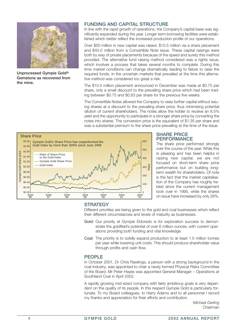

Unprocessed Gympie Gold® Gemstone as recovered from the mine.

#### FUNDING AND CAPITAL STRUCTURE

In line with the rapid growth of operations, the Company's capital base was significantly expanded during the year. Longer term borrowing facilities were established which better reflect the increased production profile of our operations.

Over \$50 million in new capital was raised, \$10.5 million via a share placement and \$40.0 million from a Convertible Note issue. These capital raisings were both by way of private placements because of the speed and surety this method provided. The alternative fund raising method considered was a rights issue, which involves a process that takes several months to complete. During this time market conditions can change dramatically, leading to failure to raise the required funds. In the uncertain markets that prevailed at the time this alternative method was considered too great a risk.

The \$10.5 million placement announced in December was made at \$0.75 per share, only a small discount to the prevailing share price which had been trading between \$0.75 and \$0.83 per share for the previous five weeks.

The Convertible Notes allowed the Company to raise further capital without issuing shares at a discount to the prevailing share price, thus minimising potential dilution of current shareholders. The notes allow the holder to receive an 8.5% yield and the opportunity to participate in a stronger share price by converting the notes into shares. The conversion price is the equivalent of \$1.35 per share and was a substantial premium to the share price prevailing at the time of the issue.



#### SHARE PRICE **PERFORMANCE**

The share price performed strongly over the course of the year. While this is pleasing and has been helpful in raising new capital, we are not focused on short-term share price performance but on building longterm wealth for shareholders. Of note is the fact that the market capitalisation of the Company has roughly trebled since the current management took over in 1995, while the shares on issue have increased by only 26%.

#### **STRATEGY**

Different priorities are being given to the gold and coal businesses which reflect their different circumstances and levels of maturity as businesses.

- Gold: Our priority at Gympie Eldorado is for exploration success to demonstrate the goldfield's potential of over 6 million ounces, with current operations providing both funding and vital knowledge.
- Coal: The priority is to solidly expand production to at least 1.5 million tonnes per year while lowering unit costs. This should produce shareholder value through profits and cash flow.

#### PEOPLE

In October 2001, Dr Chris Rawlings, a person with a strong background in the coal industry, was appointed to chair a newly formed Physical Risks Committee of the Board. Mr Peter Hayes was appointed General Manager – Operations at Southland Coal in April 2002.

A rapidly growing mid-sized company with fairly ambitious goals is very dependent on the quality of its people. In this respect Gympie Gold is particularly fortunate. To my Board colleagues, to Harry Adams and to all personnel I record my thanks and appreciation for their efforts and contribution.

> *Michael Darling*  Chairman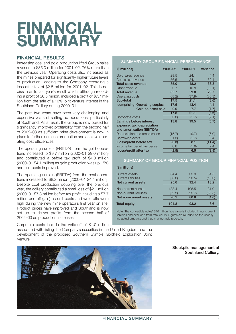## **FINANCIAL SUMMARY**

#### FINANCIAL RESULTS

Increasing coal and gold production lifted Group sales revenue to \$85.0 million for 2001–02, 76% more than the previous year. Operating costs also increased as the mines prepared for significantly higher future levels of production, leading to the Company recording a loss after tax of \$2.5 million for 2001–02. This is not dissimilar to last year's result which, although recording a profit of \$6.5 million, included a profit of \$7.7 million from the sale of a 10% joint venture interest in the Southland Colliery during 2000–01.

The past two years have been very challenging and expensive years of setting up operations, particularly at Southland. As a result, the Group is now poised for significantly improved profitability from the second half of 2002–03 as sufficient mine development is now in place to further increase production and achieve operating cost efficiencies.

The operating surplus (EBITDA) from the gold operations increased to \$9.7 million (2000–01 \$9.0 million) and contributed a before tax profit of \$4.3 million (2000–01 \$4.1 million) as gold production was up 15% and unit costs improved.

The operating surplus (EBITDA) from the coal operations increased to \$8.2 million (2000–01 \$4.4 million). Despite coal production doubling over the previous year, the colliery contributed a small loss of \$2.1 million (2000–01 \$7.3 million before tax profit including a \$7.7 million one-off gain) as unit costs and write-offs were high during the new mine operator's first year on site. Product prices have improved and Southland is now set up to deliver profits from the second half of 2002–03 as production increases.

Corporate costs include the write-off of \$1.0 million associated with listing the Company's securities in the United Kingdom and the development of the proposed Southern Gympie Goldfield Exploration Joint Venture.

#### SUMMARY GROUP FINANCIAL PERFORMANCE

| (\$ millions)                 | $2001 - 02$ | 2000-01 | Variance |
|-------------------------------|-------------|---------|----------|
| Gold sales revenue            | 28.5        | 24.1    | 4.4      |
| Coal sales revenue            | 56.5        | 24.1    | 32.4     |
| Total sales revenue           | 85.0        | 48.2    | 36.8     |
| Other revenue                 | 0.7         | 10.8    | (10.1)   |
| <b>Total revenue</b>          | 85.7        | 59.0    | 26.7     |
| <b>Operating costs</b>        | (68.2)      | (37.9)  | (30.3)   |
| Sub-total                     | 17.5        | 21.1    | (3.6)    |
| comprising: Operating surplus | 17.5        | 13.4    | 4.1      |
| Gain on asset sale            | 0.0         | 7.7     | (7.7)    |
|                               | 17.5        | 21.1    | (3.6)    |
| Corporate costs               | (3.8)       | (1.7)   | (2.1)    |
| Earnings before interest      | 13.8        | 19.5    | (5.7)    |
| expense, tax, depreciation    |             |         |          |
| and amortisation (EBITDA)     |             |         |          |
| Depreciation and amortisation | (15.7)      | (9.7)   | (6.0)    |
| Borrowing costs               | (1.3)       | (1.7)   | 0.4      |
| (Loss)/profit before tax      | (3.3)       | 8.1     | (11.4)   |
| Income tax benefit (expense)  | 0.8         | (1.6)   | 2.4      |
| (Loss)/profit after tax       | (2.5)       | 6.5     | (8.9)    |

#### SUMMARY OF GROUP FINANCIAL POSITION

| (\$ millions)           |        |        |        |
|-------------------------|--------|--------|--------|
| Current assets          | 64.4   | 33.0   | 31.5   |
| Current liabilities     | (38.8) | (20.5) | (18.3) |
| Net current assets      | 25.6   | 12.4   | 13.2   |
| Non-current assets      | 138.4  | 106.5  | 31.9   |
| Non-current liabilities | (62.2) | (25.7) | (36.5) |
| Net non-current assets  | 76.2   | 80.8   | (4.6)  |
| <b>Total equity</b>     | 101.8  | 93.2   | 8.6    |

Note: The convertible notes' \$40 million face value is included in non-current liabilities and excluded from total equity. Figures are rounded on the underlying actual amounts and thus may not add precisely.



Stockpile management at Southland Colliery.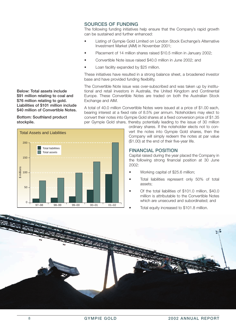#### SOURCES OF FUNDING

The following funding initiatives help ensure that the Company's rapid growth can be sustained and further enhanced:

- Listing of Gympie Gold Limited on London Stock Exchange's Alternative Investment Market (AIM) in November 2001;
- Placement of 14 million shares raised \$10.5 million in January 2002;
- Convertible Note issue raised \$40.0 million in June 2002; and
- Loan facility expanded by \$25 million.

These initiatives have resulted in a strong balance sheet, a broadened investor base and have provided funding flexibility.

The Convertible Note issue was over-subscribed and was taken up by institutional and retail investors in Australia, the United Kingdom and Continental Europe. These Convertible Notes are traded on both the Australian Stock Exchange and AIM.

A total of 40.0 million Convertible Notes were issued at a price of \$1.00 each, bearing interest at a fixed rate of 8.5% per annum. Noteholders may elect to convert their notes into Gympie Gold shares at a fixed conversion price of \$1.35 per Gympie Gold share, thereby potentially leading to the issue of 30 million

> ordinary shares. If the noteholder elects not to convert the notes into Gympie Gold shares, then the Company will simply redeem the notes at par value (\$1.00) at the end of their five-year life.

#### FINANCIAL POSITION

Capital raised during the year placed the Company in the following strong financial position at 30 June 2002:

- Working capital of \$25.6 million;
- Total liabilities represent only 50% of total assets;
- Of the total liabilities of \$101.0 million, \$40.0 million is attributable to the Convertible Notes which are unsecured and subordinated; and
	- Total equity increased to \$101.8 million.



Below: Total assets include \$91 million relating to coal and \$76 million relating to gold. Liabilities of \$101 million include \$40 million of Convertible Notes.

Bottom: Southland product stockpile.

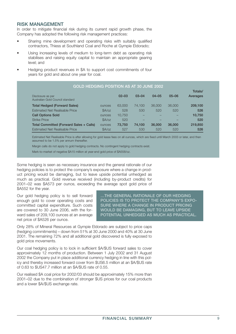#### RISK MANAGEMENT

In order to mitigate financial risk during its current rapid growth phase, the Company has adopted the following risk management practices:

- Sharing mine development and operating risks with suitably qualified contractors, Thiess at Southland Coal and Roche at Gympie Eldorado;
- Using increasing levels of medium to long-term debt as operating risk stabilises and raising equity capital to maintain an appropriate gearing level; and
- Hedging product revenues in \$A to support cost commitments of four years for gold and about one year for coal.

| <b>GOLD HEDGING POSITION AS AT 30 JUNE 2002</b>       |                 |           |           |           |           |          |
|-------------------------------------------------------|-----------------|-----------|-----------|-----------|-----------|----------|
|                                                       |                 |           |           |           |           | Totals/  |
| Disclosure as per<br>Australian Gold Council standard |                 | $02 - 03$ | $03 - 04$ | $04 - 05$ | $05 - 06$ | Averages |
| <b>Total Hedged (Forward Sales)</b>                   | <b>OUNCES</b>   | 63,000    | 74.100    | 36,000    | 36,000    | 209,100  |
| <b>Estimated Net Realisable Price</b>                 | $\frac{8A}{oz}$ | 528       | 530       | 520       | 520       | 526      |
| <b>Call Options Sold</b>                              | <b>OUNCES</b>   | 10,750    |           |           |           | 10,750   |
| <b>Strike Price</b>                                   | A/oz            | 520       |           |           |           | 520      |
| Total Committed (Forward Sales + Calls)               | <b>OUNCES</b>   | 73,750    | 74.100    | 36,000    | 36,000    | 219,850  |
| <b>Estimated Net Realisable Price</b>                 | $$A$ /oz        | 527       | 530       | 520       | 520       | 526      |

Estimated Net Realisable Price is after allowing for gold lease fees on all ounces, which are fixed until March 2003 or later, and then assumed to be 1.5% per annum thereafter.

Margin calls do not apply to gold hedging contracts. No contingent hedging contracts exist.

Mark-to-market of negative \$A15 million at year-end gold price of \$A558/oz.

Some hedging is seen as necessary insurance and the general rationale of our hedging policies is to protect the company's exposure where a change in product pricing would be damaging, but to leave upside potential unhedged as much as practical. Gold revenue received (including by-product credits) for 2001–02 was \$A573 per ounce, exceeding the average spot gold price of \$A552 for the year.

Our gold hedging policy is to sell forward enough gold to cover operating costs and committed capital expenditure. Such costs are covered to 30 June 2006, with the forward sales of 209,100 ounces at an average net price of \$A526 per ounce.

…THE GENERAL RATIONALE OF OUR HEDGING POLICIES IS TO PROTECT THE COMPANY'S EXPO-SURE WHERE A CHANGE IN PRODUCT PRICING WOULD BE DAMAGING, BUT TO LEAVE UPSIDE POTENTIAL UNHEDGED AS MUCH AS PRACTICAL.

Only 28% of Mineral Resources at Gympie Eldorado are subject to price caps (hedging commitments) – down from 51% at 30 June 2000 and 40% at 30 June 2001. The remaining 72% and all additional gold discovered is fully exposed to gold price movements.

Our coal hedging policy is to lock in sufficient \$A/\$US forward sales to cover approximately 12 months of production. Between 1 July 2002 and 31 August 2002 the Company put in place additional currency hedging in line with this policy and thereby increased forward cover from \$US6.5 million at an \$A/\$US rate of 0.63 to \$US47.7 million at an \$A/\$US rate of 0.55.

Our realised \$A coal price for 2002/03 should be approximately 15% more than 2001–02 due to the combination of stronger \$US prices for our coal products and a lower \$A/\$US exchange rate.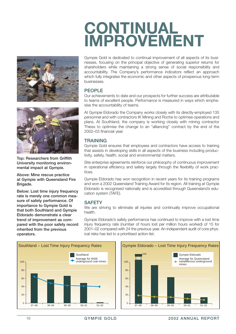





Top: Researchers from Griffith University monitoring environmental impact at Gympie.

Above: Mine rescue practice at Gympie with Queensland Fire Brigade.

Below: Lost time injury frequency rate is merely one common measure of safety performance. Of importance to Gympie Gold is that both Southland and Gympie Eldorado demonstrate a clear trend of improvement as compared with the poor safety record inherited from the previous operators.

Gympie Gold is dedicated to continual improvement of all aspects of its businesses, focusing on the principal objective of generating superior returns for shareholders while maintaining a strong sense of social responsibility and accountability. The Company's performance indicators reflect an approach which fully integrates the economic and other aspects of prosperous long-term businesses.

#### PEOPLE

Our achievements to date and our prospects for further success are attributable to teams of excellent people. Performance is measured in ways which emphasise the accountability of teams.

At Gympie Eldorado the Company works closely with its directly-employed 135 personnel and with contractors IK Mining and Roche to optimise operations and plans. At Southland, the company is working closely with mining contractor Thiess to optimise the change to an "alliancing" contract by the end of the 2002–03 financial year.

#### **TRAINING**

Gympie Gold ensures that employees and contractors have access to training that assists in developing skills in all aspects of the business including productivity, safety, health, social and environmental matters.

Site enterprise agreements reinforce our philosophy of continuous improvement in operational efficiency and safety largely through the flexibility of work practices.

Gympie Eldorado has won recognition in recent years for its training programs and won a 2002 Queensland Training Award for its region. All training at Gympie Eldorado is recognised nationally and is accredited through Queensland's education system (TAFE).

#### **SAFETY**

We are striving to eliminate all injuries and continually improve occupational health.

Gympie Eldorado's safety performance has continued to improve with a lost time injury frequency rate (number of hours lost per million hours worked) of 15 for 2001–02 compared with 24 the previous year. An independent audit of core physical risks has led to a prioritised action-list.